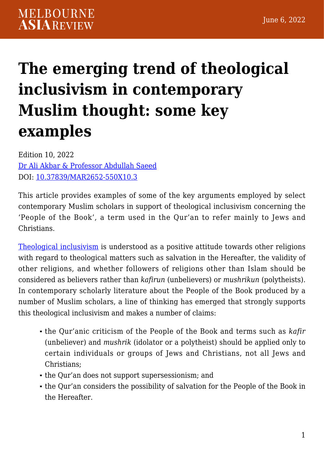# **[The emerging trend of theological](https://melbourneasiareview.edu.au/emerging-trend-of-theological-inclusivism-in-contemporary-muslim-thought-some-key-examples/) [inclusivism in contemporary](https://melbourneasiareview.edu.au/emerging-trend-of-theological-inclusivism-in-contemporary-muslim-thought-some-key-examples/) [Muslim thought: some key](https://melbourneasiareview.edu.au/emerging-trend-of-theological-inclusivism-in-contemporary-muslim-thought-some-key-examples/) [examples](https://melbourneasiareview.edu.au/emerging-trend-of-theological-inclusivism-in-contemporary-muslim-thought-some-key-examples/)**

Edition 10, 2022 [Dr Ali Akbar & Professor Abdullah Saeed](https://arts.unimelb.edu.au/national-centre-for-contemporary-islamic-studies/about/staff) DOI: 10.37839/MAR2652-550X10.3

This article provides examples of some of the key arguments employed by select contemporary Muslim scholars in support of theological inclusivism concerning the 'People of the Book', a term used in the Qur'an to refer mainly to Jews and Christians.

[Theological inclusivism](https://www.rsis.edu.sg/rsis-publication/srp/interreligious-relations-irr-issue-21-inclusivism-and-exclusivism-among-muslims-today-between-theological-and-social-dimensions-by-abdullah-saeed/#.YmDPp-FBw2x) is understood as a positive attitude towards other religions with regard to theological matters such as salvation in the Hereafter, the validity of other religions, and whether followers of religions other than Islam should be considered as believers rather than *kafirun* (unbelievers) or *mushrikun* (polytheists). In contemporary scholarly literature about the People of the Book produced by a number of Muslim scholars, a line of thinking has emerged that strongly supports this theological inclusivism and makes a number of claims:

- the Qur'anic criticism of the People of the Book and terms such as *kafir* (unbeliever) and *mushrik* (idolator or a polytheist) should be applied only to certain individuals or groups of Jews and Christians, not all Jews and Christians;
- the Qur'an does not support supersessionism; and
- the Qur'an considers the possibility of salvation for the People of the Book in the Hereafter.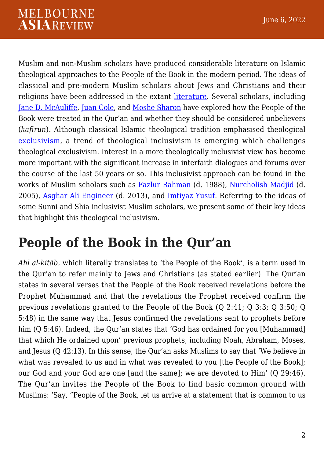Muslim and non-Muslim scholars have produced considerable literature on Islamic theological approaches to the People of the Book in the modern period. The ideas of classical and pre-modern Muslim scholars about Jews and Christians and their religions have been addressed in the extant [literature.](https://www.cambridge.org/core/books/tolerance-and-coercion-in-islam/603974A9EFEDC7FBD00B38D0845AECAA) Several scholars, including [Jane D. McAuliffe](https://onlinelibrary.wiley.com/doi/10.1111/j.1478-1913.1983.tb03257.x), [Juan Cole](https://www.researchgate.net/publication/344398842_Infidel_or_Paganus_The_Polysemy_of_kafara_in_the_Quran), and [Moshe Sharon](https://referenceworks.brillonline.com/entries/encyclopaedia-of-the-quran/*-EQSIM_00319) have explored how the People of the Book were treated in the Qur'an and whether they should be considered unbelievers (*kafirun*). Although classical Islamic theological tradition emphasised theological [exclusivism,](https://oxford.universitypressscholarship.com/view/10.1093/acprof:oso/9780199945399.001.0001/acprof-9780199945399-chapter-5) a trend of theological inclusivism is emerging which challenges theological exclusivism. Interest in a more theologically inclusivist view has become more important with the significant increase in interfaith dialogues and forums over the course of the last 50 years or so. This inclusivist approach can be found in the works of Muslim scholars such as [Fazlur Rahman](https://press.uchicago.edu/ucp/books/book/chicago/M/bo6826294.html#:~:text=In%20this%20classic%20work%2C%20Rahman,for%20decades%20in%20the%20West.) (d. 1988), [Nurcholish Madjid](https://www.iis.ac.uk/publication/approaches-qur-contemporary-indonesia) (d. 2005), [Asghar Ali Engineer](https://catalogue.nla.gov.au/Record/1031387) (d. 2013), and [Imtiyaz Yusuf](http://www.assumptionjournal.au.edu/index.php/PrajnaVihara/article/view/1301/1160). Referring to the ideas of some Sunni and Shia inclusivist Muslim scholars, we present some of their key ideas that highlight this theological inclusivism.

### **People of the Book in the Qur'an**

*Ahl al-kitāb*, which literally translates to 'the People of the Book', is a term used in the Qur'an to refer mainly to Jews and Christians (as stated earlier). The Qur'an states in several verses that the People of the Book received revelations before the Prophet Muhammad and that the revelations the Prophet received confirm the previous revelations granted to the People of the Book (Q 2:41; Q 3:3; Q 3:50; Q 5:48) in the same way that Jesus confirmed the revelations sent to prophets before him (Q 5:46). Indeed, the Qur'an states that 'God has ordained for you [Muhammad] that which He ordained upon' previous prophets, including Noah, Abraham, Moses, and Jesus (Q 42:13). In this sense, the Qur'an asks Muslims to say that 'We believe in what was revealed to us and in what was revealed to you [the People of the Book]; our God and your God are one [and the same]; we are devoted to Him' (Q 29:46). The Qur'an invites the People of the Book to find basic common ground with Muslims: 'Say, "People of the Book, let us arrive at a statement that is common to us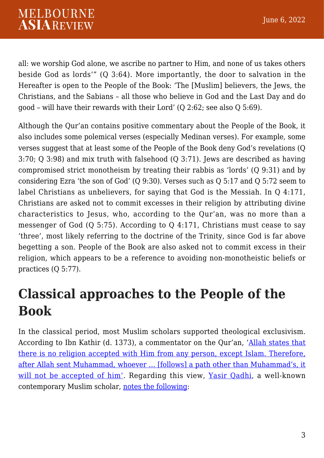all: we worship God alone, we ascribe no partner to Him, and none of us takes others beside God as lords'" (Q 3:64). More importantly, the door to salvation in the Hereafter is open to the People of the Book: 'The [Muslim] believers, the Jews, the Christians, and the Sabians – all those who believe in God and the Last Day and do good – will have their rewards with their Lord' (Q 2:62; see also Q 5:69).

Although the Qur'an contains positive commentary about the People of the Book, it also includes some polemical verses (especially Medinan verses). For example, some verses suggest that at least some of the People of the Book deny God's revelations (Q 3:70; Q 3:98) and mix truth with falsehood (Q 3:71). Jews are described as having compromised strict monotheism by treating their rabbis as 'lords' (Q 9:31) and by considering Ezra 'the son of God' (Q 9:30). Verses such as Q 5:17 and Q 5:72 seem to label Christians as unbelievers, for saying that God is the Messiah. In Q 4:171, Christians are asked not to commit excesses in their religion by attributing divine characteristics to Jesus, who, according to the Qur'an, was no more than a messenger of God (Q 5:75). According to Q 4:171, Christians must cease to say 'three', most likely referring to the doctrine of the Trinity, since God is far above begetting a son. People of the Book are also asked not to commit excess in their religion, which appears to be a reference to avoiding non-monotheistic beliefs or practices (Q 5:77).

### **Classical approaches to the People of the Book**

In the classical period, most Muslim scholars supported theological exclusivism. According to Ibn Kathir (d. 1373), a commentator on the Qur'an, '[Allah states that](https://www.altafsir.com/) [there is no religion accepted with Him from any person, except Islam. Therefore,](https://www.altafsir.com/) [after Allah sent Muhammad, whoever … \[follows\] a path other than Muhammad's, it](https://www.altafsir.com/) [will not be accepted of him'.](https://www.altafsir.com/) Regarding this view, [Yasir Qadhi,](https://www.islamicseminary.us/instructor/yasir-qadhi/) a well-known contemporary Muslim scholar, [notes the following](https://oxford.universitypressscholarship.com/view/10.1093/acprof:oso/9780199945399.001.0001/acprof-9780199945399-chapter-5):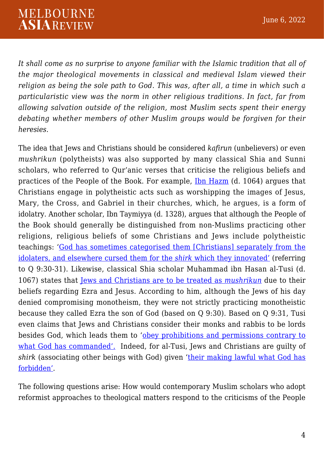*It shall come as no surprise to anyone familiar with the Islamic tradition that all of the major theological movements in classical and medieval Islam viewed their religion as being the sole path to God. This was, after all, a time in which such a particularistic view was the norm in other religious traditions. In fact, far from allowing salvation outside of the religion, most Muslim sects spent their energy debating whether members of other Muslim groups would be forgiven for their heresies.*

The idea that Jews and Christians should be considered *kafirun* (unbelievers) or even *mushrikun* (polytheists) was also supported by many classical Shia and Sunni scholars, who referred to Qur'anic verses that criticise the religious beliefs and practices of the People of the Book. For example, [Ibn Hazm](https://umexpert.um.edu.my/public_view.php?type=publication&row=NzA0NDc%3D) (d. 1064) argues that Christians engage in polytheistic acts such as worshipping the images of Jesus, Mary, the Cross, and Gabriel in their churches, which, he argues, is a form of idolatry. Another scholar, Ibn Taymiyya (d. 1328), argues that although the People of the Book should generally be distinguished from non-Muslims practicing other religions, religious beliefs of some Christians and Jews include polytheistic teachings: '[God has sometimes categorised them \[Christians\] separately from the](https://www.worldcat.org/title/muslim-theologians-response-to-christianity-ibn-taymiyyas-al-jawab-al-sahih/oclc/9828163) [idolaters, and elsewhere cursed them for the](https://www.worldcat.org/title/muslim-theologians-response-to-christianity-ibn-taymiyyas-al-jawab-al-sahih/oclc/9828163) *[shirk](https://www.worldcat.org/title/muslim-theologians-response-to-christianity-ibn-taymiyyas-al-jawab-al-sahih/oclc/9828163)* [which they innovated'](https://www.worldcat.org/title/muslim-theologians-response-to-christianity-ibn-taymiyyas-al-jawab-al-sahih/oclc/9828163) (referring to Q 9:30-31). Likewise, classical Shia scholar Muhammad ibn Hasan al-Tusi (d. 1067) states that [Jews and Christians are to be treated as](http://www.ltakim.com/Shi) *[mushrikun](http://www.ltakim.com/Shi)* due to their beliefs regarding Ezra and Jesus. According to him, although the Jews of his day denied compromising monotheism, they were not strictly practicing monotheistic because they called Ezra the son of God (based on Q 9:30). Based on Q 9:31, Tusi even claims that Jews and Christians consider their monks and rabbis to be lords besides God, which leads them to '[obey prohibitions and permissions contrary to](https://muse.jhu.edu/article/557475/pdf) [what God has commanded'.](https://muse.jhu.edu/article/557475/pdf) Indeed, for al-Tusi, Jews and Christians are guilty of *shirk* (associating other beings with God) given ['their making lawful what God has](https://muse.jhu.edu/article/557475/pdf) [forbidden'](https://muse.jhu.edu/article/557475/pdf).

The following questions arise: How would contemporary Muslim scholars who adopt reformist approaches to theological matters respond to the criticisms of the People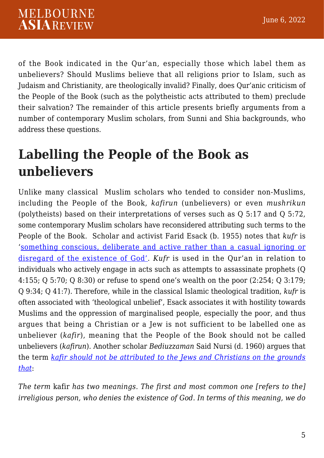of the Book indicated in the Qur'an, especially those which label them as unbelievers? Should Muslims believe that all religions prior to Islam, such as Judaism and Christianity, are theologically invalid? Finally, does Qur'anic criticism of the People of the Book (such as the polytheistic acts attributed to them) preclude their salvation? The remainder of this article presents briefly arguments from a number of contemporary Muslim scholars, from Sunni and Shia backgrounds, who address these questions.

## **Labelling the People of the Book as unbelievers**

Unlike many classical Muslim scholars who tended to consider non-Muslims, including the People of the Book, *kafirun* (unbelievers) or even *mushrikun* (polytheists) based on their interpretations of verses such as Q 5:17 and Q 5:72, some contemporary Muslim scholars have reconsidered attributing such terms to the People of the Book. Scholar and activist Farid Esack (b. 1955) notes that *kufr* is '[something conscious, deliberate and active rather than a casual ignoring or](https://www.worldcat.org/title/quran-liberation-pluralism-an-islamic-perspective-of-interreligious-solidarity-against-oppression/oclc/246135679) [disregard of the existence of God'](https://www.worldcat.org/title/quran-liberation-pluralism-an-islamic-perspective-of-interreligious-solidarity-against-oppression/oclc/246135679). *Kufr* is used in the Qur'an in relation to individuals who actively engage in acts such as attempts to assassinate prophets (Q 4:155; Q 5:70; Q 8:30) or refuse to spend one's wealth on the poor (2:254; Q 3:179; Q 9:34; Q 41:7). Therefore, while in the classical Islamic theological tradition, *kufr* is often associated with 'theological unbelief', Esack associates it with hostility towards Muslims and the oppression of marginalised people, especially the poor, and thus argues that being a Christian or a Jew is not sufficient to be labelled one as unbeliever (*kafir*), meaning that the People of the Book should not be called unbelievers (*kafirun*). Another scholar *Bediuzzaman* Said Nursi (d. 1960) argues that the term *[kafir should not be attributed to the Jews and Christians on the grounds](https://www.researchgate.net/publication/240527949_Said_Nursi) [that](https://www.researchgate.net/publication/240527949_Said_Nursi)*:

*The term* kafir *has two meanings. The first and most common one [refers to the] irreligious person, who denies the existence of God. In terms of this meaning, we do*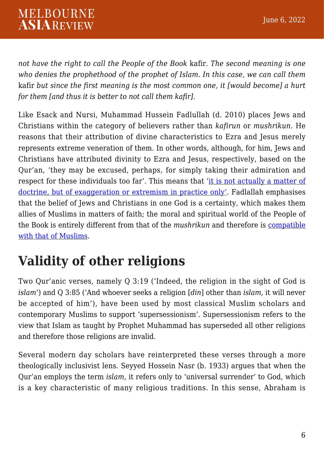#### **MELBOURNE ASIAREVIEW**

*not have the right to call the People of the Book* kafir*. The second meaning is one who denies the prophethood of the prophet of Islam. In this case, we can call them* kafir *but since the first meaning is the most common one, it [would become] a hurt for them [and thus it is better to not call them kafir].*

Like Esack and Nursi, Muhammad Hussein Fadlullah (d. 2010) places Jews and Christians within the category of believers rather than *kafirun* or *mushrikun*. He reasons that their attribution of divine characteristics to Ezra and Jesus merely represents extreme veneration of them. In other words, although, for him, Jews and Christians have attributed divinity to Ezra and Jesus, respectively, based on the Qur'an, 'they may be excused, perhaps, for simply taking their admiration and respect for these individuals too far'. This means that '[it is not actually a matter of](https://www.researchgate.net/publication/280743964_Defining_the_Boundaries_of_Sacred_Space_Unbelievers_Purity_and_the_Masjid_al-Haram_in_Shi) [doctrine, but of exaggeration or extremism in practice only'.](https://www.researchgate.net/publication/280743964_Defining_the_Boundaries_of_Sacred_Space_Unbelievers_Purity_and_the_Masjid_al-Haram_in_Shi) Fadlallah emphasises that the belief of Jews and Christians in one God is a certainty, which makes them allies of Muslims in matters of faith; the moral and spiritual world of the People of the Book is entirely different from that of the *mushrikun* and therefore is [compatible](https://www.researchgate.net/publication/280743964_Defining_the_Boundaries_of_Sacred_Space_Unbelievers_Purity_and_the_Masjid_al-Haram_in_Shi) [with that of Muslims.](https://www.researchgate.net/publication/280743964_Defining_the_Boundaries_of_Sacred_Space_Unbelievers_Purity_and_the_Masjid_al-Haram_in_Shi)

## **Validity of other religions**

Two Qur'anic verses, namely Q 3:19 ('Indeed, the religion in the sight of God is *islam*') and Q 3:85 ('And whoever seeks a religion [*din*] other than *islam*, it will never be accepted of him'), have been used by most classical Muslim scholars and contemporary Muslims to support 'supersessionism'. Supersessionism refers to the view that Islam as taught by Prophet Muhammad has superseded all other religions and therefore those religions are invalid.

Several modern day scholars have reinterpreted these verses through a more theologically inclusivist lens. Seyyed Hossein Nasr (b. 1933) argues that when the Qur'an employs the term *islam*, it refers only to 'universal surrender' to God, which is a key characteristic of many religious traditions. In this sense, Abraham is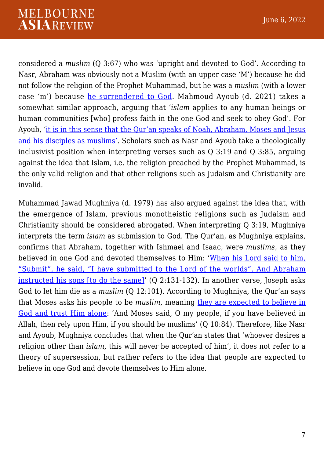#### **MELBOURNE ASIAREVIEW**

considered a *muslim* (Q 3:67) who was 'upright and devoted to God'. According to Nasr, Abraham was obviously not a Muslim (with an upper case 'M') because he did not follow the religion of the Prophet Muhammad, but he was a *muslim* (with a lower case 'm') because [he surrendered to God](https://catalogue.nla.gov.au/Record/2086148#:~:text=%22In%20The%20Heart%20of%20Islam,and%20respect%20for%20the%20other.). Mahmoud Ayoub (d. 2021) takes a somewhat similar approach, arguing that '*islam* applies to any human beings or human communities [who] profess faith in the one God and seek to obey God'. For Ayoub, ['it is in this sense that the Qur'an speaks of Noah, Abraham, Moses and Jesus](https://iiit.org/wp-content/uploads/2018/09/religious_pluralism_and_the_qur.pdf) [and his disciples as muslims'.](https://iiit.org/wp-content/uploads/2018/09/religious_pluralism_and_the_qur.pdf) Scholars such as Nasr and Ayoub take a theologically inclusivist position when interpreting verses such as Q 3:19 and Q 3:85, arguing against the idea that Islam, i.e. the religion preached by the Prophet Muhammad, is the only valid religion and that other religions such as Judaism and Christianity are invalid.

Muhammad Jawad Mughniya (d. 1979) has also argued against the idea that, with the emergence of Islam, previous monotheistic religions such as Judaism and Christianity should be considered abrogated. When interpreting Q 3:19, Mughniya interprets the term *islam* as submission to God. The Qur'an, as Mughniya explains, confirms that Abraham, together with Ishmael and Isaac, were *muslims*, as they believed in one God and devoted themselves to Him: '[When his Lord said to him,](https://noorlib.ir/en/book/view/11536?volumeNumber=2&pageNumber=5&viewType=pdf) ["Submit", he said, "I have submitted to the Lord of the worlds". And Abraham](https://noorlib.ir/en/book/view/11536?volumeNumber=2&pageNumber=5&viewType=pdf) [instructed his sons \[to do the same\]](https://noorlib.ir/en/book/view/11536?volumeNumber=2&pageNumber=5&viewType=pdf)' (Q 2:131-132). In another verse, Joseph asks God to let him die as a *muslim* (Q 12:101). According to Mughniya, the Qur'an says that Moses asks his people to be *muslim*, meaning [they are expected to believe in](https://noorlib.ir/en/book/view/11536?volumeNumber=2&pageNumber=5&viewType=pdf) [God and trust Him alone](https://noorlib.ir/en/book/view/11536?volumeNumber=2&pageNumber=5&viewType=pdf): 'And Moses said, O my people, if you have believed in Allah, then rely upon Him, if you should be muslims' (Q 10:84). Therefore, like Nasr and Ayoub, Mughniya concludes that when the Qur'an states that 'whoever desires a religion other than *islam,* this will never be accepted of him', it does not refer to a theory of supersession, but rather refers to the idea that people are expected to believe in one God and devote themselves to Him alone.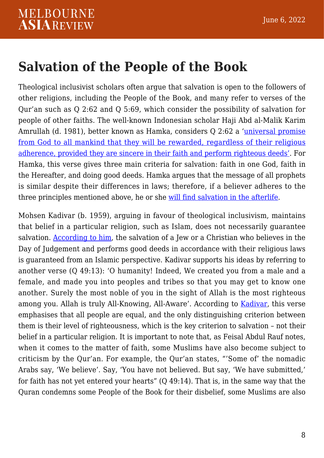### **Salvation of the People of the Book**

Theological inclusivist scholars often argue that salvation is open to the followers of other religions, including the People of the Book, and many refer to verses of the Qur'an such as Q 2:62 and Q 5:69, which consider the possibility of salvation for people of other faiths. The well-known Indonesian scholar Haji Abd al-Malik Karim Amrullah (d. 1981), better known as Hamka, considers Q 2:62 a '[universal promise](https://darulquran.co.uk/wp-content/uploads/2021/02/Religious-Harmony-and-Inter-faith-Dialogue-in-the-Writings-of-HAMKA.pdf) [from God to all mankind that they will be rewarded, regardless of their religious](https://darulquran.co.uk/wp-content/uploads/2021/02/Religious-Harmony-and-Inter-faith-Dialogue-in-the-Writings-of-HAMKA.pdf) [adherence, provided they are sincere in their faith and perform righteous deeds'](https://darulquran.co.uk/wp-content/uploads/2021/02/Religious-Harmony-and-Inter-faith-Dialogue-in-the-Writings-of-HAMKA.pdf). For Hamka, this verse gives three main criteria for salvation: faith in one God, faith in the Hereafter, and doing good deeds. Hamka argues that the message of all prophets is similar despite their differences in laws; therefore, if a believer adheres to the three principles mentioned above, he or she [will find salvation in the afterlife](https://darulquran.co.uk/wp-content/uploads/2021/02/Religious-Harmony-and-Inter-faith-Dialogue-in-the-Writings-of-HAMKA.pdf).

Mohsen Kadivar (b. 1959), arguing in favour of theological inclusivism, maintains that belief in a particular religion, such as Islam, does not necessarily guarantee salvation. [According to him,](http://www.drsoroush.com/English/By_DrSoroush/E-CMB-19980409-Religious_Pluralism-Kadivar-Soroush_Debate.html) the salvation of a Jew or a Christian who believes in the Day of Judgement and performs good deeds in accordance with their religious laws is guaranteed from an Islamic perspective. Kadivar supports his ideas by referring to another verse (Q 49:13): 'O humanity! Indeed, We created you from a male and a female, and made you into peoples and tribes so that you may get to know one another. Surely the most noble of you in the sight of Allah is the most righteous among you. Allah is truly All-Knowing, All-Aware'. According to [Kadivar](https://kadivar.com/13297/), this verse emphasises that all people are equal, and the only distinguishing criterion between them is their level of righteousness, which is the key criterion to salvation – not their belief in a particular religion. It is important to note that, as Feisal Abdul Rauf notes, when it comes to the matter of faith, some Muslims have also become subject to criticism by the Qur'an. For example, the Qur'an states, "'Some of' the nomadic Arabs say, 'We believe'. Say, 'You have not believed. But say, 'We have submitted,' for faith has not yet entered your hearts" (Q 49:14). That is, in the same way that the Quran condemns some People of the Book for their disbelief, some Muslims are also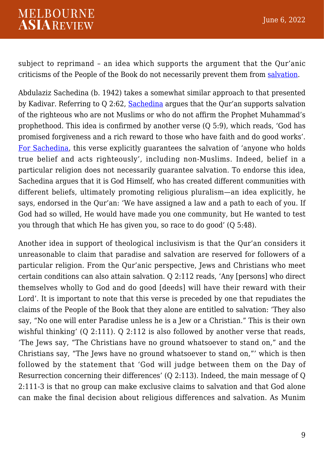subject to reprimand – an idea which supports the argument that the Qur'anic criticisms of the People of the Book do not necessarily prevent them from [salvation](https://www.harpercollins.com.au/9780060750626/whats-right-with-islam-is-whats-right-with-america/).

Abdulaziz Sachedina (b. 1942) takes a somewhat similar approach to that presented by Kadivar. Referring to Q 2:62, [Sachedina](https://www.worldcat.org/title/cambridge-companion-to-the-quran/oclc/540206503) argues that the Qur'an supports salvation of the righteous who are not Muslims or who do not affirm the Prophet Muhammad's prophethood. This idea is confirmed by another verse (Q 5:9), which reads, 'God has promised forgiveness and a rich reward to those who have faith and do good works'. [For Sachedina](https://www.worldcat.org/title/cambridge-companion-to-the-quran/oclc/540206503), this verse explicitly guarantees the salvation of 'anyone who holds true belief and acts righteously', including non-Muslims. Indeed, belief in a particular religion does not necessarily guarantee salvation. To endorse this idea, Sachedina argues that it is God Himself, who has created different communities with different beliefs, ultimately promoting religious pluralism—an idea explicitly, he says, endorsed in the Qur'an: 'We have assigned a law and a path to each of you. If God had so willed, He would have made you one community, but He wanted to test you through that which He has given you, so race to do good' (Q 5:48).

Another idea in support of theological inclusivism is that the Qur'an considers it unreasonable to claim that paradise and salvation are reserved for followers of a particular religion. From the Qur'anic perspective, Jews and Christians who meet certain conditions can also attain salvation. Q 2:112 reads, 'Any [persons] who direct themselves wholly to God and do good [deeds] will have their reward with their Lord'. It is important to note that this verse is preceded by one that repudiates the claims of the People of the Book that they alone are entitled to salvation: 'They also say, "No one will enter Paradise unless he is a Jew or a Christian." This is their own wishful thinking' (Q 2:111). Q 2:112 is also followed by another verse that reads, 'The Jews say, "The Christians have no ground whatsoever to stand on," and the Christians say, "The Jews have no ground whatsoever to stand on,"' which is then followed by the statement that 'God will judge between them on the Day of Resurrection concerning their differences' (Q 2:113). Indeed, the main message of Q 2:111-3 is that no group can make exclusive claims to salvation and that God alone can make the final decision about religious differences and salvation. As Munim